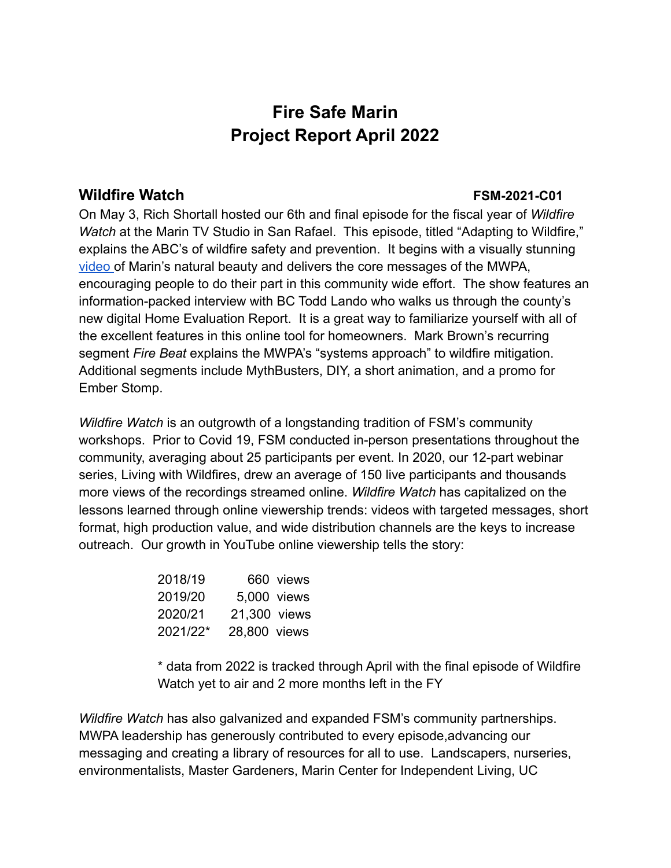# **Fire Safe Marin Project Report April 2022**

# **Wildfire Watch FSM-2021-C01**

On May 3, Rich Shortall hosted our 6th and final episode for the fiscal year of *Wildfire Watch* at the Marin TV Studio in San Rafael. This episode, titled "Adapting to Wildfire," explains the ABC's of wildfire safety and prevention. It begins with a visually stunning [video](https://youtu.be/EZ4-1YofYRg) of Marin's natural beauty and delivers the core messages of the MWPA, encouraging people to do their part in this community wide effort. The show features an information-packed interview with BC Todd Lando who walks us through the county's new digital Home Evaluation Report. It is a great way to familiarize yourself with all of the excellent features in this online tool for homeowners. Mark Brown's recurring segment *Fire Beat* explains the MWPA's "systems approach" to wildfire mitigation. Additional segments include MythBusters, DIY, a short animation, and a promo for Ember Stomp.

*Wildfire Watch* is an outgrowth of a longstanding tradition of FSM's community workshops. Prior to Covid 19, FSM conducted in-person presentations throughout the community, averaging about 25 participants per event. In 2020, our 12-part webinar series, Living with Wildfires, drew an average of 150 live participants and thousands more views of the recordings streamed online. *Wildfire Watch* has capitalized on the lessons learned through online viewership trends: videos with targeted messages, short format, high production value, and wide distribution channels are the keys to increase outreach. Our growth in YouTube online viewership tells the story:

| 2018/19  |              | 660 views   |
|----------|--------------|-------------|
| 2019/20  |              | 5,000 views |
| 2020/21  | 21,300 views |             |
| 2021/22* | 28,800 views |             |

\* data from 2022 is tracked through April with the final episode of Wildfire Watch yet to air and 2 more months left in the FY

*Wildfire Watch* has also galvanized and expanded FSM's community partnerships. MWPA leadership has generously contributed to every episode,advancing our messaging and creating a library of resources for all to use. Landscapers, nurseries, environmentalists, Master Gardeners, Marin Center for Independent Living, UC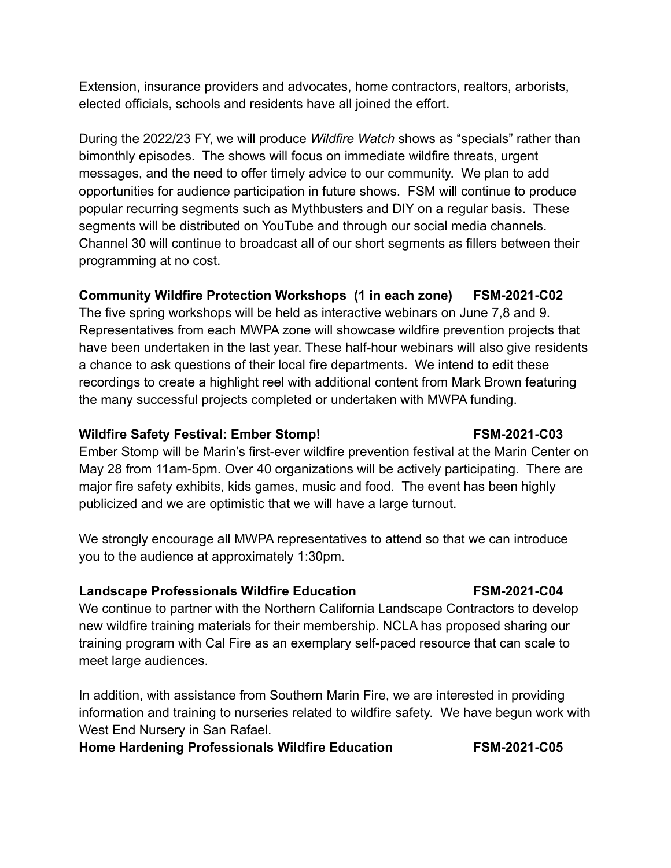Extension, insurance providers and advocates, home contractors, realtors, arborists, elected officials, schools and residents have all joined the effort.

During the 2022/23 FY, we will produce *Wildfire Watch* shows as "specials" rather than bimonthly episodes. The shows will focus on immediate wildfire threats, urgent messages, and the need to offer timely advice to our community. We plan to add opportunities for audience participation in future shows. FSM will continue to produce popular recurring segments such as Mythbusters and DIY on a regular basis. These segments will be distributed on YouTube and through our social media channels. Channel 30 will continue to broadcast all of our short segments as fillers between their programming at no cost.

# **Community Wildfire Protection Workshops (1 in each zone) FSM-2021-C02**

The five spring workshops will be held as interactive webinars on June 7,8 and 9. Representatives from each MWPA zone will showcase wildfire prevention projects that have been undertaken in the last year. These half-hour webinars will also give residents a chance to ask questions of their local fire departments. We intend to edit these recordings to create a highlight reel with additional content from Mark Brown featuring the many successful projects completed or undertaken with MWPA funding.

## **Wildfire Safety Festival: Ember Stomp! FSM-2021-C03**

Ember Stomp will be Marin's first-ever wildfire prevention festival at the Marin Center on May 28 from 11am-5pm. Over 40 organizations will be actively participating. There are major fire safety exhibits, kids games, music and food. The event has been highly publicized and we are optimistic that we will have a large turnout.

We strongly encourage all MWPA representatives to attend so that we can introduce you to the audience at approximately 1:30pm.

## **Landscape Professionals Wildfire Education FSM-2021-C04**

We continue to partner with the Northern California Landscape Contractors to develop new wildfire training materials for their membership. NCLA has proposed sharing our training program with Cal Fire as an exemplary self-paced resource that can scale to meet large audiences.

In addition, with assistance from Southern Marin Fire, we are interested in providing information and training to nurseries related to wildfire safety. We have begun work with West End Nursery in San Rafael.

**Home Hardening Professionals Wildfire Education FSM-2021-C05**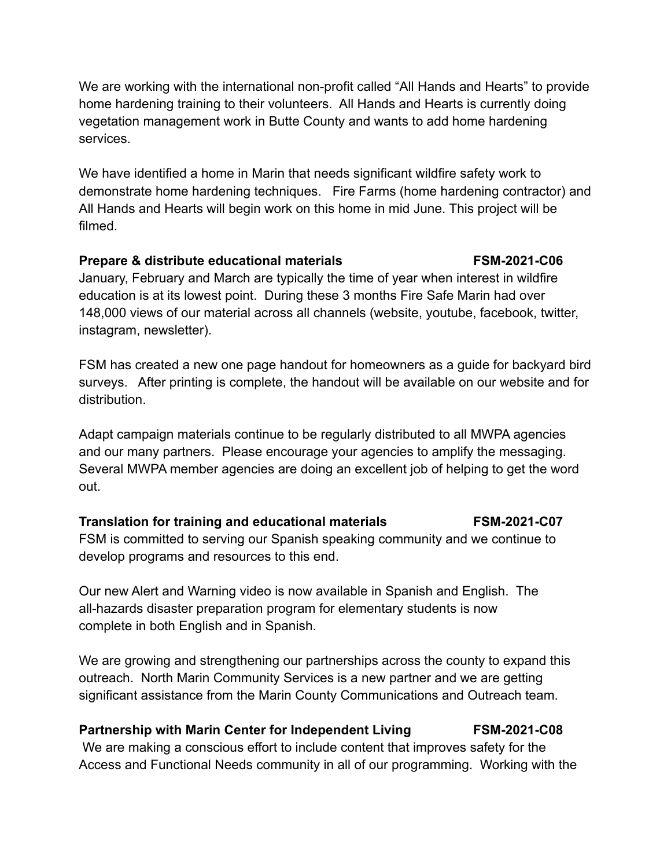We are working with the international non-profit called "All Hands and Hearts" to provide home hardening training to their volunteers. All Hands and Hearts is currently doing vegetation management work in Butte County and wants to add home hardening services.

We have identified a home in Marin that needs significant wildfire safety work to demonstrate home hardening techniques. Fire Farms (home hardening contractor) and All Hands and Hearts will begin work on this home in mid June. This project will be filmed.

## **Prepare & distribute educational materials FSM-2021-C06**

January, February and March are typically the time of year when interest in wildfire education is at its lowest point. During these 3 months Fire Safe Marin had over 148,000 views of our material across all channels (website, youtube, facebook, twitter, instagram, newsletter).

FSM has created a new one page handout for homeowners as a guide for backyard bird surveys. After printing is complete, the handout will be available on our website and for distribution.

Adapt campaign materials continue to be regularly distributed to all MWPA agencies and our many partners. Please encourage your agencies to amplify the messaging. Several MWPA member agencies are doing an excellent job of helping to get the word out.

# **Translation for training and educational materials FSM-2021-C07**

FSM is committed to serving our Spanish speaking community and we continue to develop programs and resources to this end.

Our new Alert and Warning video is now available in Spanish and English. The all-hazards disaster preparation program for elementary students is now complete in both English and in Spanish.

We are growing and strengthening our partnerships across the county to expand this outreach. North Marin Community Services is a new partner and we are getting significant assistance from the Marin County Communications and Outreach team.

# **Partnership with Marin Center for Independent Living FSM-2021-C08**

We are making a conscious effort to include content that improves safety for the Access and Functional Needs community in all of our programming. Working with the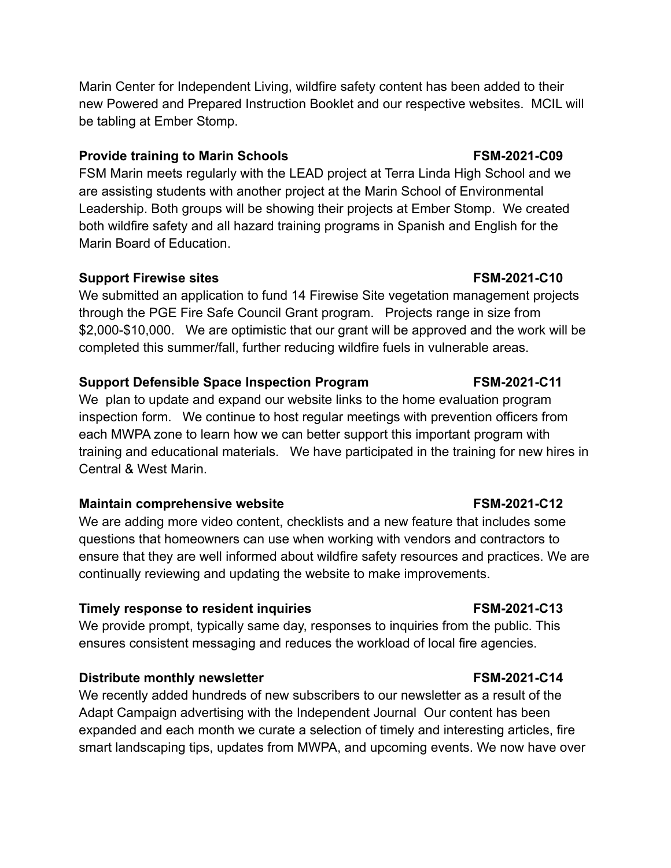Marin Center for Independent Living, wildfire safety content has been added to their new Powered and Prepared Instruction Booklet and our respective websites. MCIL will be tabling at Ember Stomp.

### **Provide training to Marin Schools <b>FSM-2021-C09**

FSM Marin meets regularly with the LEAD project at Terra Linda High School and we are assisting students with another project at the Marin School of Environmental Leadership. Both groups will be showing their projects at Ember Stomp. We created both wildfire safety and all hazard training programs in Spanish and English for the Marin Board of Education.

# **Support Firewise sites FSM-2021-C10**

We submitted an application to fund 14 Firewise Site vegetation management projects through the PGE Fire Safe Council Grant program. Projects range in size from \$2,000-\$10,000. We are optimistic that our grant will be approved and the work will be completed this summer/fall, further reducing wildfire fuels in vulnerable areas.

# **Support Defensible Space Inspection Program FSM-2021-C11**

We plan to update and expand our website links to the home evaluation program inspection form. We continue to host regular meetings with prevention officers from each MWPA zone to learn how we can better support this important program with training and educational materials. We have participated in the training for new hires in Central & West Marin.

## **Maintain comprehensive website FSM-2021-C12**

We are adding more video content, checklists and a new feature that includes some questions that homeowners can use when working with vendors and contractors to ensure that they are well informed about wildfire safety resources and practices. We are continually reviewing and updating the website to make improvements.

# **Timely response to resident inquiries FSM-2021-C13**

We provide prompt, typically same day, responses to inquiries from the public. This ensures consistent messaging and reduces the workload of local fire agencies.

# Distribute monthly newsletter **FSM-2021-C14**

We recently added hundreds of new subscribers to our newsletter as a result of the Adapt Campaign advertising with the Independent Journal Our content has been expanded and each month we curate a selection of timely and interesting articles, fire smart landscaping tips, updates from MWPA, and upcoming events. We now have over